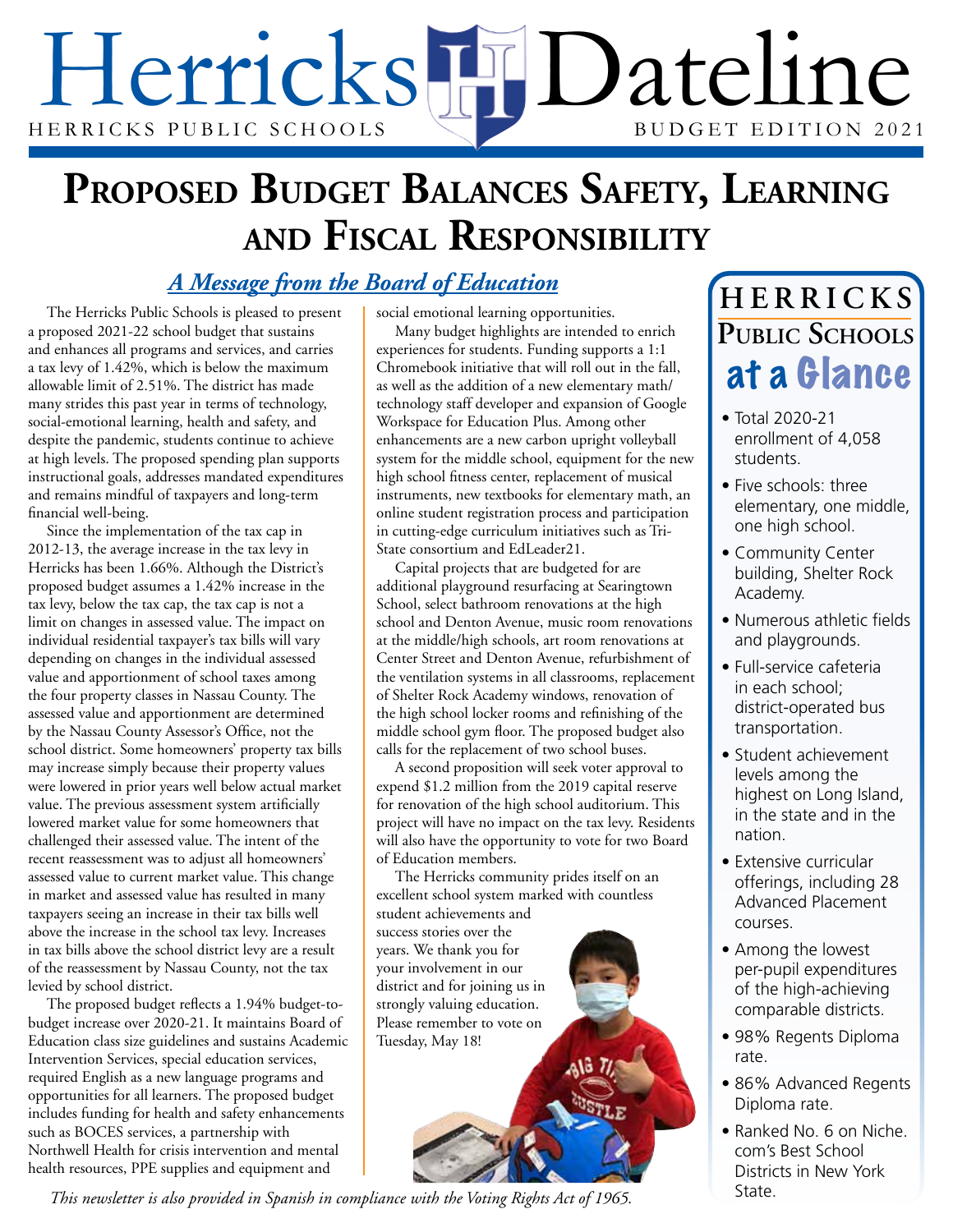# Herricks HD ateline HERRICKS PUBLIC SCHOOLS

## **Proposed Budget Balances Safety, Learning and Fiscal Responsibility**

### *A Message from the Board of Education*

The Herricks Public Schools is pleased to present a proposed 2021-22 school budget that sustains and enhances all programs and services, and carries a tax levy of 1.42%, which is below the maximum allowable limit of 2.51%. The district has made many strides this past year in terms of technology, social-emotional learning, health and safety, and despite the pandemic, students continue to achieve at high levels. The proposed spending plan supports instructional goals, addresses mandated expenditures and remains mindful of taxpayers and long-term financial well-being.

Since the implementation of the tax cap in 2012-13, the average increase in the tax levy in Herricks has been 1.66%. Although the District's proposed budget assumes a 1.42% increase in the tax levy, below the tax cap, the tax cap is not a limit on changes in assessed value. The impact on individual residential taxpayer's tax bills will vary depending on changes in the individual assessed value and apportionment of school taxes among the four property classes in Nassau County. The assessed value and apportionment are determined by the Nassau County Assessor's Office, not the school district. Some homeowners' property tax bills may increase simply because their property values were lowered in prior years well below actual market value. The previous assessment system artificially lowered market value for some homeowners that challenged their assessed value. The intent of the recent reassessment was to adjust all homeowners' assessed value to current market value. This change in market and assessed value has resulted in many taxpayers seeing an increase in their tax bills well above the increase in the school tax levy. Increases in tax bills above the school district levy are a result of the reassessment by Nassau County, not the tax levied by school district.

The proposed budget reflects a 1.94% budget-tobudget increase over 2020-21. It maintains Board of Education class size guidelines and sustains Academic Intervention Services, special education services, required English as a new language programs and opportunities for all learners. The proposed budget includes funding for health and safety enhancements such as BOCES services, a partnership with Northwell Health for crisis intervention and mental health resources, PPE supplies and equipment and

social emotional learning opportunities.

Many budget highlights are intended to enrich experiences for students. Funding supports a 1:1 Chromebook initiative that will roll out in the fall, as well as the addition of a new elementary math/ technology staff developer and expansion of Google Workspace for Education Plus. Among other enhancements are a new carbon upright volleyball system for the middle school, equipment for the new high school fitness center, replacement of musical instruments, new textbooks for elementary math, an online student registration process and participation in cutting-edge curriculum initiatives such as Tri-State consortium and EdLeader21.

Capital projects that are budgeted for are additional playground resurfacing at Searingtown School, select bathroom renovations at the high school and Denton Avenue, music room renovations at the middle/high schools, art room renovations at Center Street and Denton Avenue, refurbishment of the ventilation systems in all classrooms, replacement of Shelter Rock Academy windows, renovation of the high school locker rooms and refinishing of the middle school gym floor. The proposed budget also calls for the replacement of two school buses.

A second proposition will seek voter approval to expend \$1.2 million from the 2019 capital reserve for renovation of the high school auditorium. This project will have no impact on the tax levy. Residents will also have the opportunity to vote for two Board of Education members.

The Herricks community prides itself on an excellent school system marked with countless student achievements and

success stories over the years. We thank you for your involvement in our district and for joining us in strongly valuing education. Please remember to vote on Tuesday, May 18!

### at a Glance **H E R R I C K S Public Schools**

- Total 2020-21 enrollment of 4,058 students.
- Five schools: three elementary, one middle, one high school.
- Community Center building, Shelter Rock Academy.
- Numerous athletic fields and playgrounds.
- Full-service cafeteria in each school; district-operated bus transportation.
- Student achievement levels among the highest on Long Island, in the state and in the nation.
- Extensive curricular offerings, including 28 Advanced Placement courses.
- Among the lowest per-pupil expenditures of the high-achieving comparable districts.
- 98% Regents Diploma rate.
- 86% Advanced Regents Diploma rate.
- Ranked No. 6 on Niche. com's Best School Districts in New York State.

*This newsletter is also provided in Spanish in compliance with the Voting Rights Act of 1965.*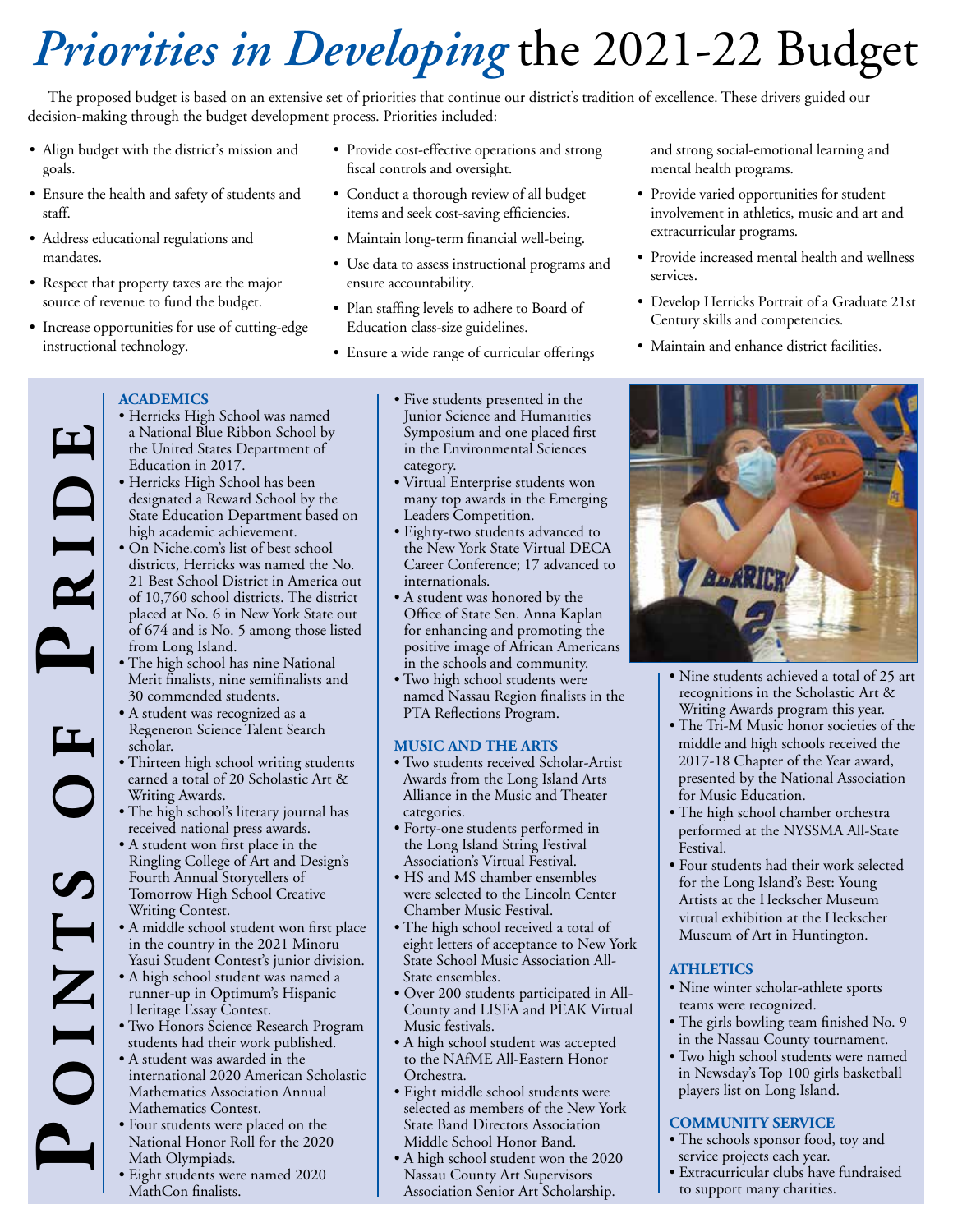## *Priorities in Developing* the 2021-22 Budget

The proposed budget is based on an extensive set of priorities that continue our district's tradition of excellence. These drivers guided our decision-making through the budget development process. Priorities included:

- Align budget with the district's mission and goals.
- Ensure the health and safety of students and staff.
- Address educational regulations and mandates.
- Respect that property taxes are the major source of revenue to fund the budget.
- Increase opportunities for use of cutting-edge instructional technology.
- Provide cost-effective operations and strong fiscal controls and oversight.
- Conduct a thorough review of all budget items and seek cost-saving efficiencies.
- Maintain long-term financial well-being.
- Use data to assess instructional programs and ensure accountability.
- Plan staffing levels to adhere to Board of Education class-size guidelines.
- Ensure a wide range of curricular offerings

and strong social-emotional learning and mental health programs.

- Provide varied opportunities for student involvement in athletics, music and art and extracurricular programs.
- Provide increased mental health and wellness services.
- Develop Herricks Portrait of a Graduate 21st Century skills and competencies.
- Maintain and enhance district facilities.

### **ACADEMICS**

- Herricks High School was named a National Blue Ribbon School by the United States Department of Education in 2017.
- Herricks High School has been designated a Reward School by the State Education Department based on high academic achievement.
- On Niche.com's list of best school districts, Herricks was named the No. 21 Best School District in America out of 10,760 school districts. The district placed at No. 6 in New York State out of 674 and is No. 5 among those listed from Long Island.
- The high school has nine National Merit finalists, nine semifinalists and 30 commended students.
- A student was recognized as a Regeneron Science Talent Search scholar.

**o i n t s o f P r i d e**

OINTS

 $\mathbf{I}$ 

RID

- Thirteen high school writing students earned a total of 20 Scholastic Art & Writing Awards.
- The high school's literary journal has received national press awards.
- A student won first place in the Ringling College of Art and Design's Fourth Annual Storytellers of Tomorrow High School Creative Writing Contest.
- A middle school student won first place in the country in the 2021 Minoru Yasui Student Contest's junior division.
- A high school student was named a runner-up in Optimum's Hispanic Heritage Essay Contest.
- Two Honors Science Research Program students had their work published.
- A student was awarded in the international 2020 American Scholastic Mathematics Association Annual Mathematics Contest.
- Four students were placed on the • Four students were placed on the<br>
National Honor Roll for the 2020<br>
• Eight students were named 2020<br>
• Eight students were named 2020<br>
• Eight students were named 2020<br>
Passau County Art Supervisors<br>
Passau County Art S Math Olympiads.
	- Eight students were named 2020 MathCon finalists.
- Five students presented in the Junior Science and Humanities Symposium and one placed first in the Environmental Sciences category.
- Virtual Enterprise students won many top awards in the Emerging Leaders Competition.
- Eighty-two students advanced to the New York State Virtual DECA Career Conference; 17 advanced to internationals.
- A student was honored by the Office of State Sen. Anna Kaplan for enhancing and promoting the positive image of African Americans in the schools and community.
- Two high school students were named Nassau Region finalists in the PTA Reflections Program.

### **MUSIC AND THE ARTS**

- Two students received Scholar-Artist Awards from the Long Island Arts Alliance in the Music and Theater categories.
- Forty-one students performed in the Long Island String Festival Association's Virtual Festival.
- HS and MS chamber ensembles were selected to the Lincoln Center Chamber Music Festival.
- The high school received a total of eight letters of acceptance to New York State School Music Association All-State ensembles.
- Over 200 students participated in All-County and LISFA and PEAK Virtual Music festivals.
- A high school student was accepted to the NAfME All-Eastern Honor Orchestra.
- Eight middle school students were selected as members of the New York State Band Directors Association Middle School Honor Band.
- A high school student won the 2020 Nassau County Art Supervisors Association Senior Art Scholarship.



- Nine students achieved a total of 25 art recognitions in the Scholastic Art & Writing Awards program this year.
- The Tri-M Music honor societies of the middle and high schools received the 2017-18 Chapter of the Year award, presented by the National Association for Music Education.
- The high school chamber orchestra performed at the NYSSMA All-State Festival.
- Four students had their work selected for the Long Island's Best: Young Artists at the Heckscher Museum virtual exhibition at the Heckscher Museum of Art in Huntington.

### **ATHLETICS**

- Nine winter scholar-athlete sports teams were recognized.
- The girls bowling team finished No. 9 in the Nassau County tournament.
- Two high school students were named in Newsday's Top 100 girls basketball players list on Long Island.

### **COMMUNITY SERVICE**

- The schools sponsor food, toy and service projects each year.<br>• Extracurricular clubs have fundraised
- to support many charities.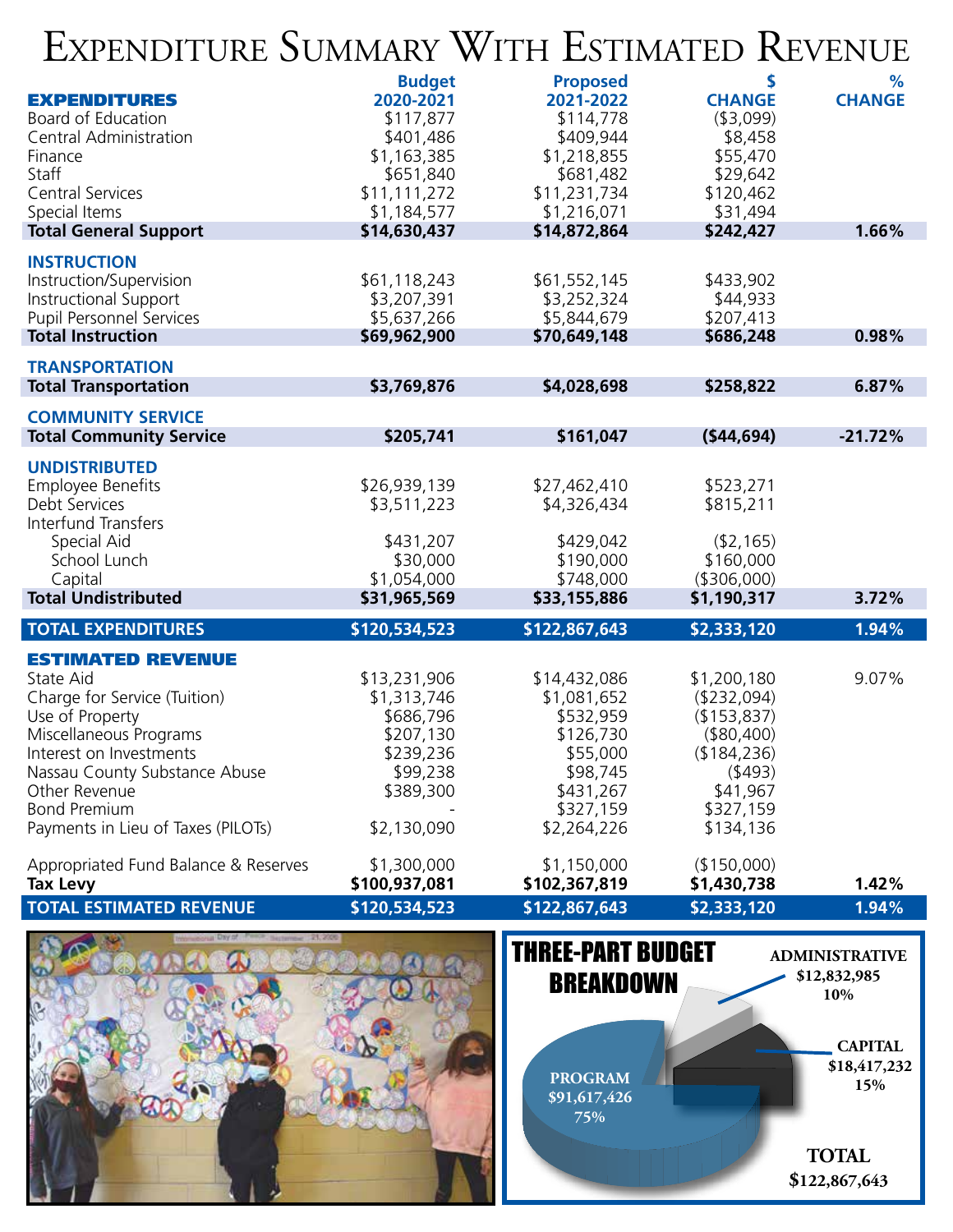## Expenditure Summary With Estimated Revenue

|                                                           | <b>Budget</b>            | <b>Proposed</b>          | \$                     | %             |
|-----------------------------------------------------------|--------------------------|--------------------------|------------------------|---------------|
| <b>EXPENDITURES</b>                                       | 2020-2021                | 2021-2022                | <b>CHANGE</b>          | <b>CHANGE</b> |
| Board of Education                                        | \$117,877                | \$114,778                | ( \$3,099)             |               |
| Central Administration<br>Finance                         | \$401,486<br>\$1,163,385 | \$409,944<br>\$1,218,855 | \$8,458<br>\$55,470    |               |
| Staff                                                     | \$651,840                | \$681,482                | \$29,642               |               |
| <b>Central Services</b>                                   | \$11,111,272             | \$11,231,734             | \$120,462              |               |
| Special Items                                             | \$1,184,577              | \$1,216,071              | \$31,494               |               |
| <b>Total General Support</b>                              | \$14,630,437             | \$14,872,864             | \$242,427              | 1.66%         |
| <b>INSTRUCTION</b>                                        |                          |                          |                        |               |
| Instruction/Supervision                                   | \$61,118,243             | \$61,552,145             | \$433,902              |               |
| Instructional Support                                     | \$3,207,391              | \$3,252,324              | \$44,933               |               |
| <b>Pupil Personnel Services</b>                           | \$5,637,266              | \$5,844,679              | \$207,413              |               |
| <b>Total Instruction</b>                                  | \$69,962,900             | \$70,649,148             | \$686,248              | 0.98%         |
| <b>TRANSPORTATION</b>                                     |                          |                          |                        |               |
| <b>Total Transportation</b>                               | \$3,769,876              | \$4,028,698              | \$258,822              | 6.87%         |
| <b>COMMUNITY SERVICE</b>                                  |                          |                          |                        |               |
| <b>Total Community Service</b>                            | \$205,741                | \$161,047                | (544, 694)             | $-21.72%$     |
| <b>UNDISTRIBUTED</b>                                      |                          |                          |                        |               |
| <b>Employee Benefits</b>                                  | \$26,939,139             | \$27,462,410             | \$523,271              |               |
| Debt Services                                             | \$3,511,223              | \$4,326,434              | \$815,211              |               |
| Interfund Transfers                                       |                          |                          |                        |               |
| Special Aid                                               | \$431,207                | \$429,042                | (42, 165)              |               |
| School Lunch                                              | \$30,000                 | \$190,000                | \$160,000              |               |
| Capital                                                   | \$1,054,000              | \$748,000                | ( \$306,000)           |               |
| <b>Total Undistributed</b>                                | \$31,965,569             | \$33,155,886             | \$1,190,317            | 3.72%         |
| <b>TOTAL EXPENDITURES</b>                                 | \$120,534,523            | \$122,867,643            | \$2,333,120            | 1.94%         |
| <b>ESTIMATED REVENUE</b>                                  |                          |                          |                        |               |
| State Aid                                                 | \$13,231,906             | \$14,432,086             | \$1,200,180            | 9.07%         |
| Charge for Service (Tuition)                              | \$1,313,746              | \$1,081,652              | (\$232,094)            |               |
| Use of Property                                           | \$686,796                | \$532,959                | (\$153,837)            |               |
| Miscellaneous Programs                                    | \$207,130                | \$126,730                | (\$80,400)             |               |
| Interest on Investments                                   | \$239,236                | \$55,000                 | (\$184,236)            |               |
| Nassau County Substance Abuse                             | \$99,238                 | \$98,745                 | (\$493)                |               |
| Other Revenue                                             | \$389,300                | \$431,267                | \$41,967               |               |
| <b>Bond Premium</b><br>Payments in Lieu of Taxes (PILOTs) | \$2,130,090              | \$327,159<br>\$2,264,226 | \$327,159<br>\$134,136 |               |
|                                                           |                          |                          |                        |               |
| Appropriated Fund Balance & Reserves                      | \$1,300,000              | \$1,150,000              | (150,000)              |               |
| <b>Tax Levy</b>                                           | \$100,937,081            | \$102,367,819            | \$1,430,738            | 1.42%         |
| <b>TOTAL ESTIMATED REVENUE</b>                            | \$120,534,523            | \$122,867,643            | \$2,333,120            | 1.94%         |
|                                                           |                          |                          |                        |               |



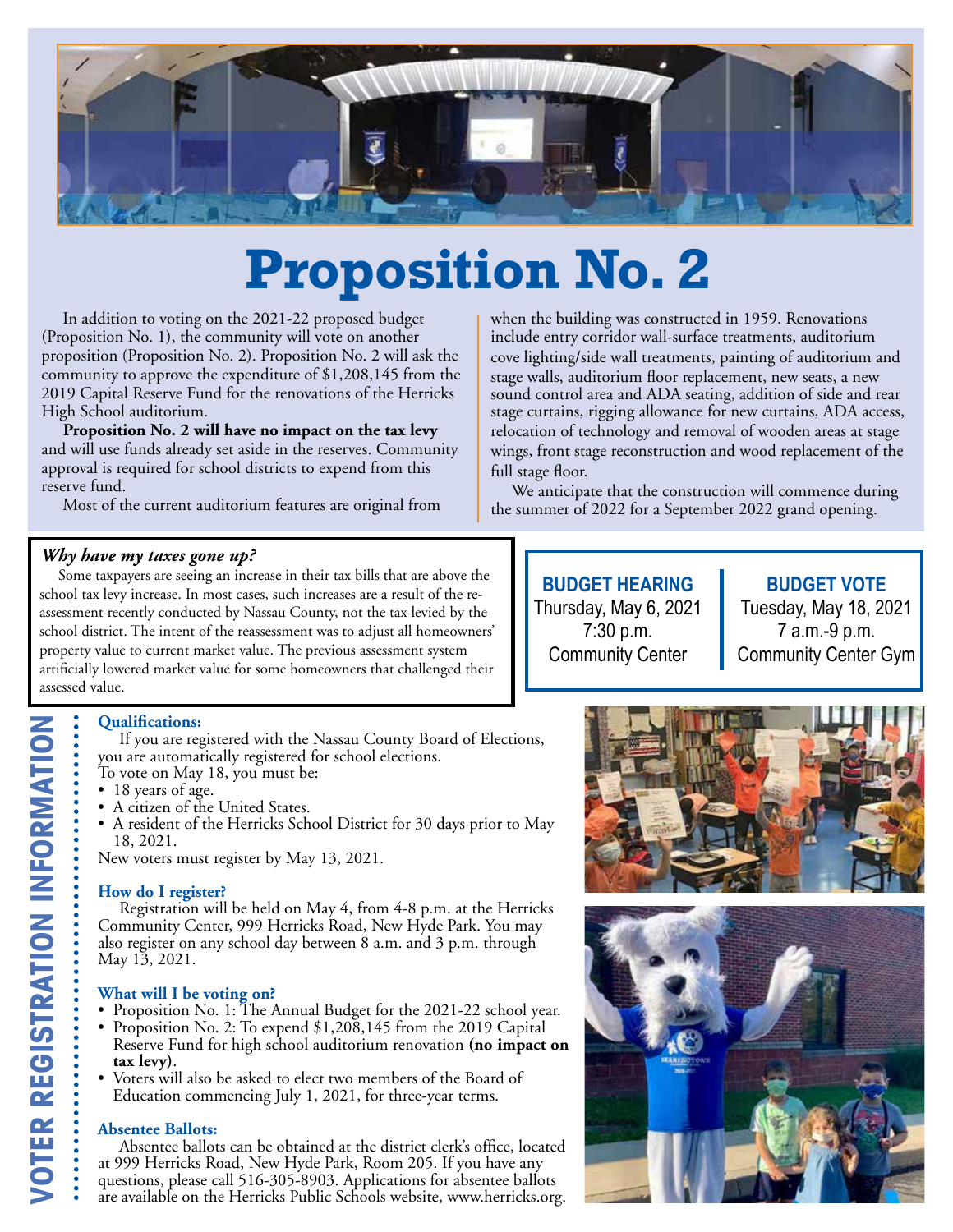

## **Proposition No. 2**

 In addition to voting on the 2021-22 proposed budget (Proposition No. 1), the community will vote on another proposition (Proposition No. 2). Proposition No. 2 will ask the community to approve the expenditure of \$1,208,145 from the 2019 Capital Reserve Fund for the renovations of the Herricks High School auditorium.

 **Proposition No. 2 will have no impact on the tax levy**  and will use funds already set aside in the reserves. Community approval is required for school districts to expend from this reserve fund.

Most of the current auditorium features are original from

### *Why have my taxes gone up?*

Some taxpayers are seeing an increase in their tax bills that are above the school tax levy increase. In most cases, such increases are a result of the reassessment recently conducted by Nassau County, not the tax levied by the school district. The intent of the reassessment was to adjust all homeowners' property value to current market value. The previous assessment system artificially lowered market value for some homeowners that challenged their assessed value.

### **Qualifications:**

 If you are registered with the Nassau County Board of Elections, you are automatically registered for school elections.

To vote on May 18, you must be:

- 18 years of age.
- A citizen of the United States.
- A resident of the Herricks School District for 30 days prior to May 18, 2021.

New voters must register by May 13, 2021.

### **How do I register?**

 Registration will be held on May 4, from 4-8 p.m. at the Herricks Community Center, 999 Herricks Road, New Hyde Park. You may also register on any school day between 8 a.m. and 3 p.m. through May 13, 2021.

### **What will I be voting on?**

- Proposition No. 1: The Annual Budget for the 2021-22 school year.
- Proposition No. 2: To expend \$1,208,145 from the 2019 Capital Reserve Fund for high school auditorium renovation **(no impact on tax levy**).<br>Voters will also be asked to elect two members of the Board of
- Education commencing July 1, 2021, for three-year terms.

### **Absentee Ballots:**

 Absentee ballots can be obtained at the district clerk's office, located at 999 Herricks Road, New Hyde Park, Room 205. If you have any questions, please call 516-305-8903. Applications for absentee ballots are available on the Herricks Public Schools website, www.herricks.org.

when the building was constructed in 1959. Renovations include entry corridor wall-surface treatments, auditorium cove lighting/side wall treatments, painting of auditorium and stage walls, auditorium floor replacement, new seats, a new sound control area and ADA seating, addition of side and rear stage curtains, rigging allowance for new curtains, ADA access, relocation of technology and removal of wooden areas at stage wings, front stage reconstruction and wood replacement of the full stage floor.

 We anticipate that the construction will commence during the summer of 2022 for a September 2022 grand opening.

> **BUDGET HEARING** Thursday, May 6, 2021 7:30 p.m. Community Center

**BUDGET VOTE** Tuesday, May 18, 2021 7 a.m.-9 p.m. Community Center Gym



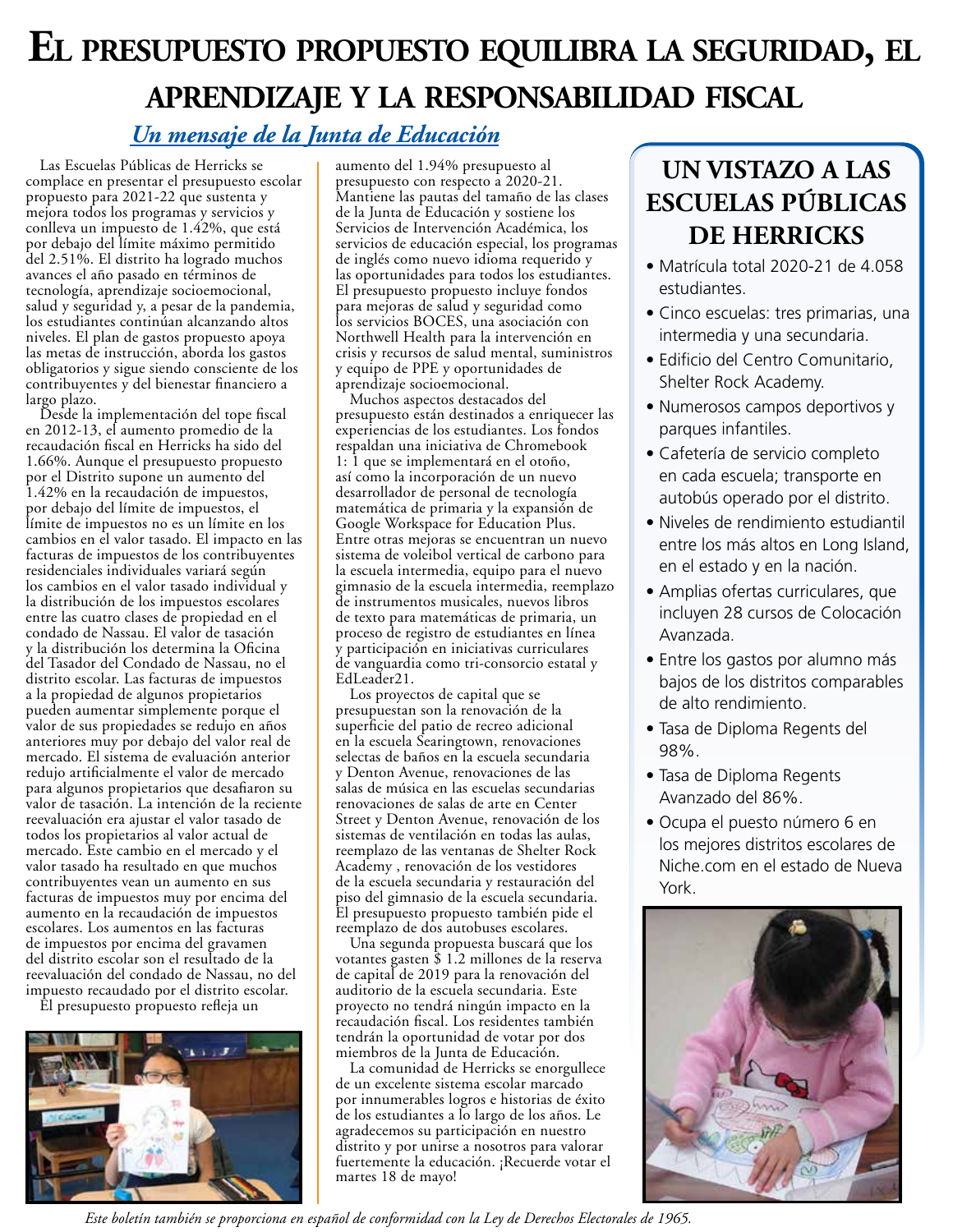## **El presupuesto propuesto equilibra la seguridad, el aprendizaje y la responsabilidad fiscal**

### *Un mensaje de la Junta de Educación*

Las Escuelas Públicas de Herricks se complace en presentar el presupuesto escolar propuesto para 2021-22 que sustenta y mejora todos los programas y servicios y conlleva un impuesto de 1.42%, que está por debajo del límite máximo permitido del 2.51%. El distrito ha logrado muchos avances el año pasado en términos de tecnología, aprendizaje socioemocional, salud y seguridad y, a pesar de la pandemia, los estudiantes continúan alcanzando altos niveles. El plan de gastos propuesto apoya las metas de instrucción, aborda los gastos obligatorios y sigue siendo consciente de los contribuyentes y del bienestar financiero a largo plazo.

Desde la implementación del tope fiscal en 2012-13, el aumento promedio de la recaudación fiscal en Herricks ha sido del 1.66%. Aunque el presupuesto propuesto por el Distrito supone un aumento del 1.42% en la recaudación de impuestos, por debajo del límite de impuestos, el límite de impuestos no es un límite en los cambios en el valor tasado. El impacto en las facturas de impuestos de los contribuyentes residenciales individuales variará según los cambios en el valor tasado individual y la distribución de los impuestos escolares entre las cuatro clases de propiedad en el condado de Nassau. El valor de tasación y la distribución los determina la Oficina del Tasador del Condado de Nassau, no el distrito escolar. Las facturas de impuestos a la propiedad de algunos propietarios pueden aumentar simplemente porque el valor de sus propiedades se redujo en años anteriores muy por debajo del valor real de mercado. El sistema de evaluación anterior redujo artificialmente el valor de mercado para algunos propietarios que desafiaron su valor de tasación. La intención de la reciente reevaluación era ajustar el valor tasado de todos los propietarios al valor actual de mercado. Este cambio en el mercado y el valor tasado ha resultado en que muchos contribuyentes vean un aumento en sus facturas de impuestos muy por encima del aumento en la recaudación de impuestos escolares. Los aumentos en las facturas de impuestos por encima del gravamen del distrito escolar son el resultado de la reevaluación del condado de Nassau, no del impuesto recaudado por el distrito escolar.

El presupuesto propuesto refleja un



aumento del 1.94% presupuesto al presupuesto con respecto a 2020-21. Mantiene las pautas del tamaño de las clases de la Junta de Educación y sostiene los Servicios de Intervención Académica, los servicios de educación especial, los programas de inglés como nuevo idioma requerido y las oportunidades para todos los estudiantes. El presupuesto propuesto incluye fondos para mejoras de salud y seguridad como los servicios BOCES, una asociación con Northwell Health para la intervención en crisis y recursos de salud mental, suministros y equipo de PPE y oportunidades de aprendizaje socioemocional.

Muchos aspectos destacados del presupuesto están destinados a enriquecer las experiencias de los estudiantes. Los fondos respaldan una iniciativa de Chromebook 1: 1 que se implementará en el otoño, así como la incorporación de un nuevo desarrollador de personal de tecnología matemática de primaria y la expansión de Google Workspace for Education Plus. Entre otras mejoras se encuentran un nuevo sistema de voleibol vertical de carbono para la escuela intermedia, equipo para el nuevo gimnasio de la escuela intermedia, reemplazo de instrumentos musicales, nuevos libros de texto para matemáticas de primaria, un proceso de registro de estudiantes en línea y participación en iniciativas curriculares de vanguardia como tri-consorcio estatal y EdLeader21.

Los proyectos de capital que se presupuestan son la renovación de la superficie del patio de recreo adicional en la escuela Searingtown, renovaciones selectas de baños en la escuela secundaria y Denton Avenue, renovaciones de las salas de música en las escuelas secundarias renovaciones de salas de arte en Center Street y Denton Avenue, renovación de los sistemas de ventilación en todas las aulas, reemplazo de las ventanas de Shelter Rock Academy , renovación de los vestidores de la escuela secundaria y restauración del piso del gimnasio de la escuela secundaria. El presupuesto propuesto también pide el reemplazo de dos autobuses escolares.

Una segunda propuesta buscará que los votantes gasten \$ 1.2 millones de la reserva de capital de 2019 para la renovación del auditorio de la escuela secundaria. Este proyecto no tendrá ningún impacto en la recaudación fiscal. Los residentes también tendrán la oportunidad de votar por dos miembros de la Junta de Educación.

La comunidad de Herricks se enorgullece de un excelente sistema escolar marcado por innumerables logros e historias de éxito de los estudiantes a lo largo de los años. Le agradecemos su participación en nuestro distrito y por unirse a nosotros para valorar fuertemente la educación. ¡Recuerde votar el martes 18 de mayo!

### **UN VISTAZO A LAS ESCUELAS PÚBLICAS DE HERRICKS**

- Matrícula total 2020-21 de 4.058 estudiantes.
- Cinco escuelas: tres primarias, una intermedia y una secundaria.
- Edificio del Centro Comunitario, Shelter Rock Academy.
- Numerosos campos deportivos y parques infantiles.
- Cafetería de servicio completo en cada escuela; transporte en autobús operado por el distrito.
- Niveles de rendimiento estudiantil entre los más altos en Long Island, en el estado y en la nación.
- Amplias ofertas curriculares, que incluyen 28 cursos de Colocación Avanzada.
- Entre los gastos por alumno más bajos de los distritos comparables de alto rendimiento.
- Tasa de Diploma Regents del 98%.
- Tasa de Diploma Regents Avanzado del 86%.
- Ocupa el puesto número 6 en los mejores distritos escolares de Niche.com en el estado de Nueva York.



*Este boletín también se proporciona en español de conformidad con la Ley de Derechos Electorales de 1965.*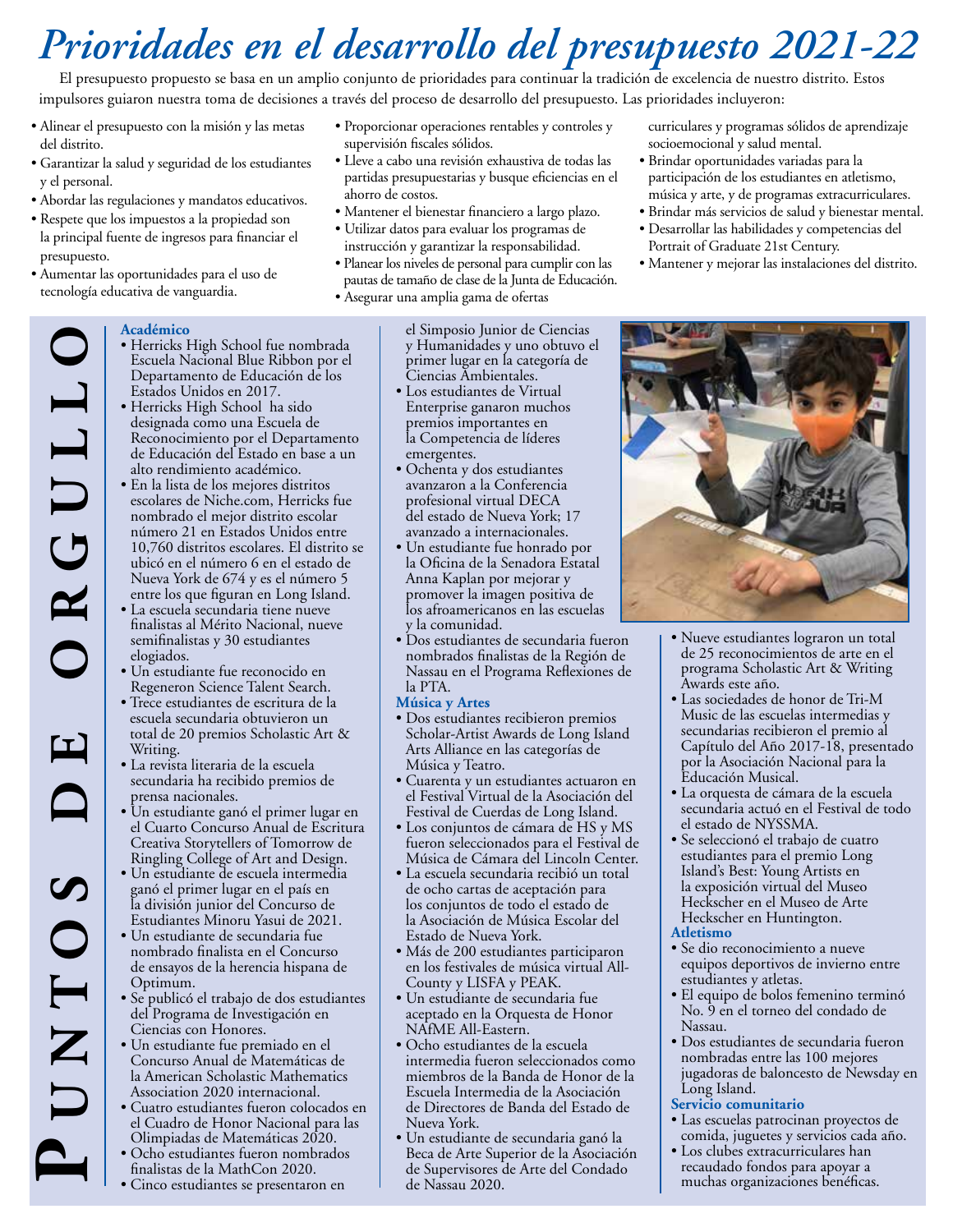## *Prioridades en el desarrollo del presupuesto 2021-22*

El presupuesto propuesto se basa en un amplio conjunto de prioridades para continuar la tradición de excelencia de nuestro distrito. Estos impulsores guiaron nuestra toma de decisiones a través del proceso de desarrollo del presupuesto. Las prioridades incluyeron:

- Alinear el presupuesto con la misión y las metas del distrito.
- Garantizar la salud y seguridad de los estudiantes y el personal.
- Abordar las regulaciones y mandatos educativos.
- Respete que los impuestos a la propiedad son la principal fuente de ingresos para financiar el presupuesto.
- Aumentar las oportunidades para el uso de tecnología educativa de vanguardia.

**Académico**

- Proporcionar operaciones rentables y controles y supervisión fiscales sólidos.
- Lleve a cabo una revisión exhaustiva de todas las partidas presupuestarias y busque eficiencias en el ahorro de costos.
- Mantener el bienestar financiero a largo plazo.
- Utilizar datos para evaluar los programas de instrucción y garantizar la responsabilidad.
- Planear los niveles de personal para cumplir con las pautas de tamaño de clase de la Junta de Educación.
- Asegurar una amplia gama de ofertas

el Simposio Junior de Ciencias y Humanidades y uno obtuvo el primer lugar en la categoría de Ciencias Ambientales.

- Los estudiantes de Virtual Enterprise ganaron muchos premios importantes en la Competencia de líderes emergentes.
- Ochenta y dos estudiantes avanzaron a la Conferencia profesional virtual DECA del estado de Nueva York; 17 avanzado a internacionales.
- Un estudiante fue honrado por la Oficina de la Senadora Estatal Anna Kaplan por mejorar y promover la imagen positiva de los afroamericanos en las escuelas y la comunidad.
- Dos estudiantes de secundaria fueron nombrados finalistas de la Región de Nassau en el Programa Reflexiones de la PTA.

### **Música y Artes**

- Dos estudiantes recibieron premios Scholar-Artist Awards de Long Island Arts Alliance en las categorías de Música y Teatro.
- Cuarenta y un estudiantes actuaron en el Festival Virtual de la Asociación del Festival de Cuerdas de Long Island.
- Los conjuntos de cámara de HS y MS fueron seleccionados para el Festival de Música de Cámara del Lincoln Center.
- La escuela secundaria recibió un total de ocho cartas de aceptación para los conjuntos de todo el estado de la Asociación de Música Escolar del Estado de Nueva York.
- Más de 200 estudiantes participaron en los festivales de música virtual All-County y LISFA y PEAK.
- Un estudiante de secundaria fue aceptado en la Orquesta de Honor NAfME All-Eastern.
- Ocho estudiantes de la escuela intermedia fueron seleccionados como miembros de la Banda de Honor de la Escuela Intermedia de la Asociación de Directores de Banda del Estado de Nueva York.
- Un estudiante de secundaria ganó la Beca de Arte Superior de la Asociación de Supervisores de Arte del Condado de Nassau 2020. recaudado de Supervisores de Arte Supervisores de Arte del Condado de Supervisores de Arte de Los clubes extracurriculares han<br>clubes extracurriculares han<br>clubes are para apoyar a poyar a porte de MathCon 2020.

curriculares y programas sólidos de aprendizaje socioemocional y salud mental.

- Brindar oportunidades variadas para la participación de los estudiantes en atletismo, música y arte, y de programas extracurriculares.
- Brindar más servicios de salud y bienestar mental.
- Desarrollar las habilidades y competencias del Portrait of Graduate 21st Century.
- Mantener y mejorar las instalaciones del distrito.



### • Herricks High School fue nombrada

- Escuela Nacional Blue Ribbon por el Departamento de Educación de los Estados Unidos en 2017. • Herricks High School ha sido
- designada como una Escuela de Reconocimiento por el Departamento de Educación del Estado en base a un alto rendimiento académico.
- En la lista de los mejores distritos escolares de Niche.com, Herricks fue nombrado el mejor distrito escolar número 21 en Estados Unidos entre 10,760 distritos escolares. El distrito se ubicó en el número 6 en el estado de Nueva York de 674 y es el número 5 entre los que figuran en Long Island.
- La escuela secundaria tiene nueve finalistas al Mérito Nacional, nueve semifinalistas y 30 estudiantes elogiados.
- Un estudiante fue reconocido en Regeneron Science Talent Search.
- Trece estudiantes de escritura de la escuela secundaria obtuvieron un total de 20 premios Scholastic Art & Writing.
- La revista literaria de la escuela secundaria ha recibido premios de prensa nacionales.
- Un estudiante ganó el primer lugar en el Cuarto Concurso Anual de Escritura Creativa Storytellers of Tomorrow de Ringling College of Art and Design.
- Un estudiante de escuela intermedia ganó el primer lugar en el país en la división junior del Concurso de Estudiantes Minoru Yasui de 2021.
- Un estudiante de secundaria fue nombrado finalista en el Concurso de ensayos de la herencia hispana de Optimum.
- Se publicó el trabajo de dos estudiantes del Programa de Investigación en Ciencias con Honores.
- Un estudiante fue premiado en el Concurso Anual de Matemáticas de la American Scholastic Mathematics Association 2020 internacional.
- Cuatro estudiantes fueron colocados en el Cuadro de Honor Nacional para las Olimpiadas de Matemáticas 2020.
- Ocho estudiantes fueron nombrados finalistas de la MathCon 2020.
- Cinco estudiantes se presentaron en



- Nueve estudiantes lograron un total de 25 reconocimientos de arte en el programa Scholastic Art & Writing Awards este año.
- Las sociedades de honor de Tri-M Music de las escuelas intermedias y secundarias recibieron el premio al Capítulo del Año 2017-18, presentado por la Asociación Nacional para la Educación Musical.
- La orquesta de cámara de la escuela secundaria actuó en el Festival de todo el estado de NYSSMA.
- Se seleccionó el trabajo de cuatro estudiantes para el premio Long Island's Best: Young Artists en la exposición virtual del Museo Heckscher en el Museo de Arte Heckscher en Huntington.

### **Atletismo**

- Se dio reconocimiento a nueve equipos deportivos de invierno entre estudiantes y atletas.
- El equipo de bolos femenino terminó No. 9 en el torneo del condado de Nassau.
- Dos estudiantes de secundaria fueron nombradas entre las 100 mejores jugadoras de baloncesto de Newsday en Long Island.

### **Servicio comunitario**

- Las escuelas patrocinan proyectos de comida, juguetes y servicios cada año.
- Los clubes extracurriculares han muchas organizaciones benéficas.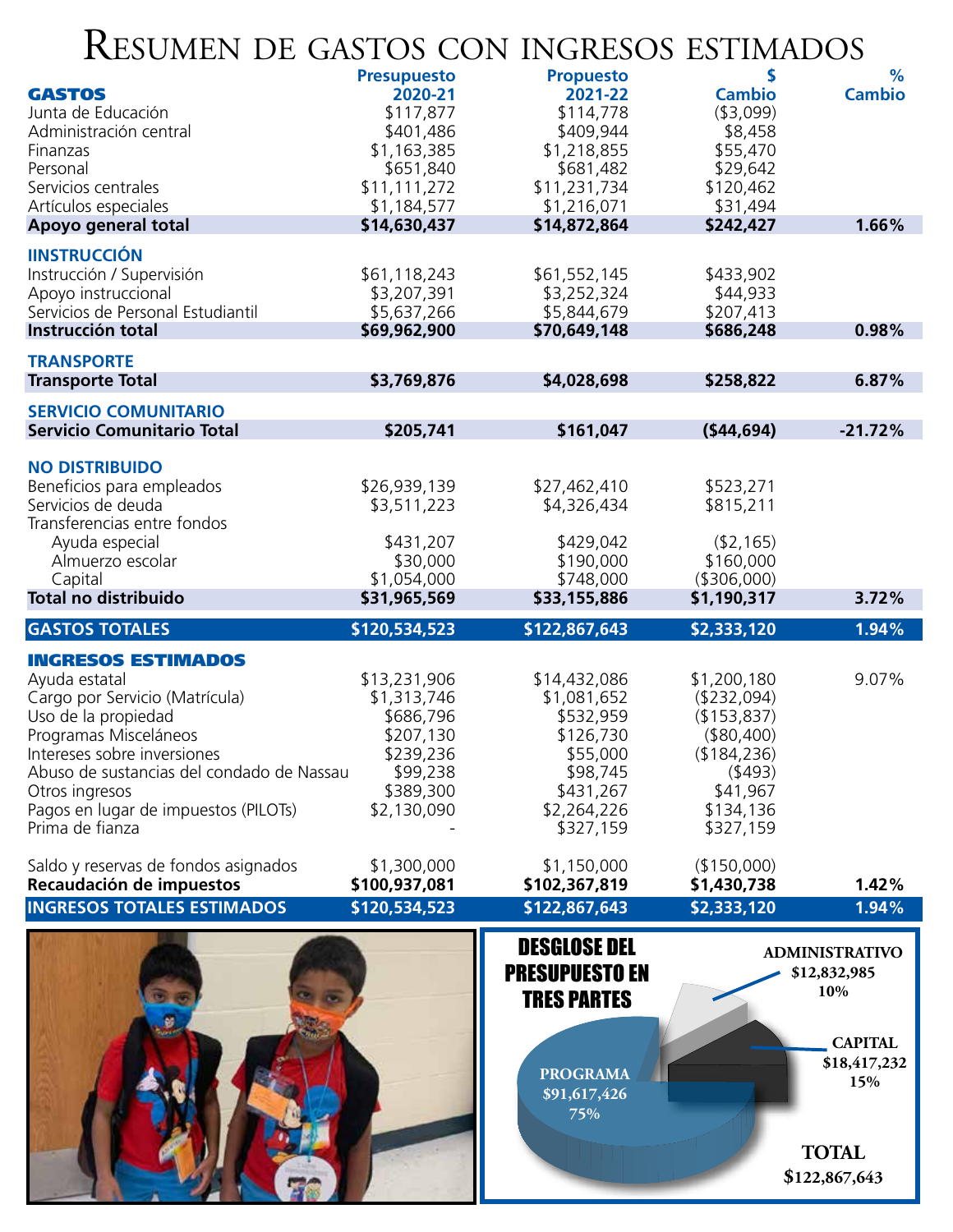### Resumen de gastos con ingresos estimados

| TTOOMEN DE GROTOS CON HYGITOOS ESTIMIDOS                                                                                                                                                                                                                                              |                                                                                                            |                                                                                                                        |                                                                                                                        |                                                                |
|---------------------------------------------------------------------------------------------------------------------------------------------------------------------------------------------------------------------------------------------------------------------------------------|------------------------------------------------------------------------------------------------------------|------------------------------------------------------------------------------------------------------------------------|------------------------------------------------------------------------------------------------------------------------|----------------------------------------------------------------|
| <b>GASTOS</b><br>Junta de Educación<br>Administración central<br>Finanzas<br>Personal<br>Servicios centrales                                                                                                                                                                          | <b>Presupuesto</b><br>2020-21<br>\$117,877<br>\$401,486<br>\$1,163,385<br>\$651,840<br>\$11,111,272        | <b>Propuesto</b><br>2021-22<br>\$114,778<br>\$409,944<br>\$1,218,855<br>\$681,482<br>\$11,231,734                      | \$<br><b>Cambio</b><br>( \$3,099)<br>\$8,458<br>\$55,470<br>\$29,642<br>\$120,462                                      | %<br><b>Cambio</b>                                             |
| Artículos especiales<br>Apoyo general total                                                                                                                                                                                                                                           | \$1,184,577<br>\$14,630,437                                                                                | \$1,216,071<br>\$14,872,864                                                                                            | \$31,494<br>\$242,427                                                                                                  | 1.66%                                                          |
| <b>IINSTRUCCIÓN</b><br>Instrucción / Supervisión<br>Apoyo instruccional<br>Servicios de Personal Estudiantil<br>Instrucción total                                                                                                                                                     | \$61,118,243<br>\$3,207,391<br>\$5,637,266<br>\$69,962,900                                                 | \$61,552,145<br>\$3,252,324<br>\$5,844,679<br>\$70,649,148                                                             | \$433,902<br>\$44,933<br>\$207,413<br>\$686,248                                                                        | 0.98%                                                          |
| <b>TRANSPORTE</b>                                                                                                                                                                                                                                                                     |                                                                                                            |                                                                                                                        |                                                                                                                        |                                                                |
| <b>Transporte Total</b>                                                                                                                                                                                                                                                               | \$3,769,876                                                                                                | \$4,028,698                                                                                                            | \$258,822                                                                                                              | 6.87%                                                          |
| <b>SERVICIO COMUNITARIO</b>                                                                                                                                                                                                                                                           |                                                                                                            |                                                                                                                        |                                                                                                                        |                                                                |
| <b>Servicio Comunitario Total</b>                                                                                                                                                                                                                                                     | \$205,741                                                                                                  | \$161,047                                                                                                              | (544, 694)                                                                                                             | $-21.72%$                                                      |
| <b>NO DISTRIBUIDO</b><br>Beneficios para empleados<br>Servicios de deuda<br>Transferencias entre fondos                                                                                                                                                                               | \$26,939,139<br>\$3,511,223                                                                                | \$27,462,410<br>\$4,326,434                                                                                            | \$523,271<br>\$815,211                                                                                                 |                                                                |
| Ayuda especial<br>Almuerzo escolar<br>Capital<br><b>Total no distribuido</b>                                                                                                                                                                                                          | \$431,207<br>\$30,000<br>\$1,054,000<br>\$31,965,569                                                       | \$429,042<br>\$190,000<br>\$748,000<br>\$33,155,886                                                                    | (\$2,165)<br>\$160,000<br>( \$306,000)<br>\$1,190,317                                                                  | 3.72%                                                          |
|                                                                                                                                                                                                                                                                                       |                                                                                                            |                                                                                                                        |                                                                                                                        |                                                                |
| <b>GASTOS TOTALES</b>                                                                                                                                                                                                                                                                 | \$120,534,523                                                                                              | \$122,867,643                                                                                                          | \$2,333,120                                                                                                            | $1.94\%$                                                       |
| <b>INGRESOS ESTIMADOS</b><br>Ayuda estatal<br>Cargo por Servicio (Matrícula)<br>Uso de la propiedad<br>Programas Misceláneos<br>Intereses sobre inversiones<br>Abuso de sustancias del condado de Nassau<br>Otros ingresos<br>Pagos en lugar de impuestos (PILOTs)<br>Prima de fianza | \$13,231,906<br>\$1,313,746<br>\$686,796<br>\$207,130<br>\$239,236<br>\$99,238<br>\$389,300<br>\$2,130,090 | \$14,432,086<br>\$1,081,652<br>\$532,959<br>\$126,730<br>\$55,000<br>\$98,745<br>\$431,267<br>\$2,264,226<br>\$327,159 | \$1,200,180<br>(\$232,094)<br>(\$153,837)<br>( \$80,400)<br>(\$184,236)<br>(493)<br>\$41,967<br>\$134,136<br>\$327,159 | 9.07%                                                          |
| Saldo y reservas de fondos asignados<br>Recaudación de impuestos                                                                                                                                                                                                                      | \$1,300,000<br>\$100,937,081                                                                               | \$1,150,000<br>\$102,367,819                                                                                           | (\$150,000)<br>\$1,430,738                                                                                             | 1.42%                                                          |
| <b>INGRESOS TOTALES ESTIMADOS</b>                                                                                                                                                                                                                                                     | \$120,534,523                                                                                              | \$122,867,643                                                                                                          | \$2,333,120                                                                                                            | 1.94%                                                          |
|                                                                                                                                                                                                                                                                                       |                                                                                                            | <b>DESGLOSE DEL</b><br><b>PRESUPUESTO EN</b><br><b>TRES PARTES</b>                                                     |                                                                                                                        | <b>ADMINISTRATIVO</b><br>\$12,832,985<br>10%<br><b>CAPITAL</b> |
|                                                                                                                                                                                                                                                                                       |                                                                                                            | <b>PROGRAMA</b><br>\$91,617,426<br>75%                                                                                 |                                                                                                                        | \$18,417,232<br>15%                                            |

11,215,215,215,215

**TOTAL \$122,867,643**